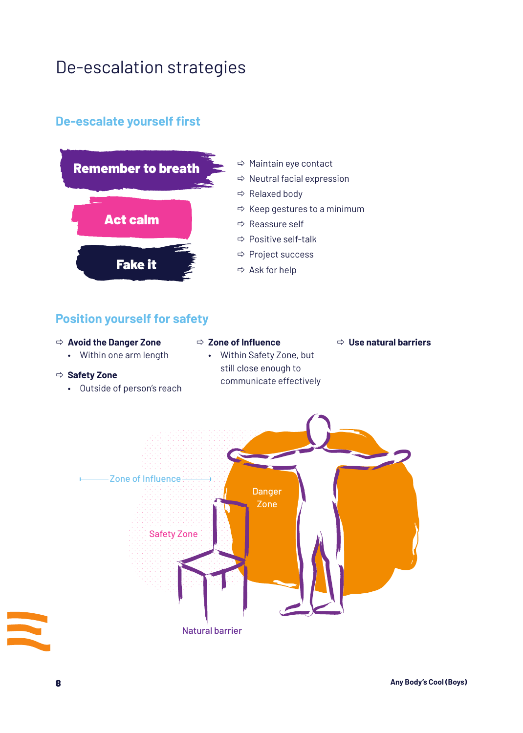# De-escalation strategies

### **De-escalate yourself first**